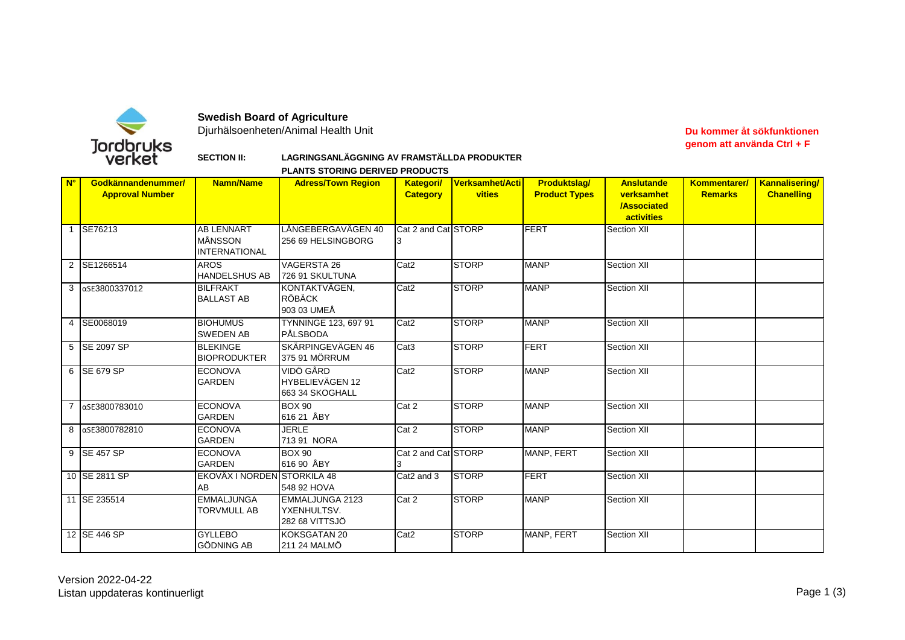

## **Swedish Board of Agriculture**

Djurhälsoenheten/Animal Health Unit

## **Du kommer åt sökfunktionen genom att använda Ctrl + F**

**SECTION II:**

| LAGRINGSANLÄGGNING AV FRAMSTÄLLDA PRODUKTER |  |
|---------------------------------------------|--|
|---------------------------------------------|--|

**PLANTS STORING DERIVED PRODUCTS**

| $N^{\circ}$ | Godkännandenummer/<br><b>Approval Number</b> | <b>Namn/Name</b>                                     | <b>Adress/Town Region</b>                        | <b>Kategori/</b><br><b>Category</b> | Verksamhet/Acti<br><b>vities</b> | <b>Produktslag/</b><br><b>Product Types</b> | <b>Anslutande</b><br>verksamhet<br><b>/Associated</b><br>activities | Kommentarer/<br><b>Remarks</b> | <b>Kannalisering</b><br><b>Chanelling</b> |
|-------------|----------------------------------------------|------------------------------------------------------|--------------------------------------------------|-------------------------------------|----------------------------------|---------------------------------------------|---------------------------------------------------------------------|--------------------------------|-------------------------------------------|
|             | 1 SE76213                                    | <b>AB LENNART</b><br>MÅNSSON<br><b>INTERNATIONAL</b> | LÅNGEBERGAVÄGEN 40<br>256 69 HELSINGBORG         | Cat 2 and Cat STORP                 |                                  | FERT                                        | Section XII                                                         |                                |                                           |
|             | 2 SE1266514                                  | <b>AROS</b><br><b>HANDELSHUS AB</b>                  | VAGERSTA 26<br>726 91 SKULTUNA                   | Cat <sub>2</sub>                    | <b>STORP</b>                     | <b>MANP</b>                                 | Section XII                                                         |                                |                                           |
|             | 3 aSE3800337012                              | <b>BILFRAKT</b><br><b>BALLAST AB</b>                 | KONTAKTVÄGEN.<br><b>RÖBÄCK</b><br>903 03 UMEÅ    | Cat <sub>2</sub>                    | <b>STORP</b>                     | <b>MANP</b>                                 | Section XII                                                         |                                |                                           |
|             | 4 SE0068019                                  | <b>BIOHUMUS</b><br><b>SWEDEN AB</b>                  | TYNNINGE 123, 697 91<br>PÅLSBODA                 | Cat <sub>2</sub>                    | <b>STORP</b>                     | <b>MANP</b>                                 | Section XII                                                         |                                |                                           |
|             | 5 SE 2097 SP                                 | <b>BLEKINGE</b><br><b>BIOPRODUKTER</b>               | SKÄRPINGEVÄGEN 46<br>375 91 MÖRRUM               | Cat <sub>3</sub>                    | <b>STORP</b>                     | FERT                                        | Section XII                                                         |                                |                                           |
|             | 6 SE 679 SP                                  | <b>ECONOVA</b><br><b>GARDEN</b>                      | VIDÖ GÅRD<br>HYBELIEVÄGEN 12<br>663 34 SKOGHALL  | Cat <sub>2</sub>                    | <b>STORP</b>                     | <b>MANP</b>                                 | Section XII                                                         |                                |                                           |
|             | 7 aSE3800783010                              | <b>ECONOVA</b><br><b>GARDEN</b>                      | <b>BOX 90</b><br>616 21 ÅBY                      | Cat 2                               | <b>STORP</b>                     | <b>MANP</b>                                 | Section XII                                                         |                                |                                           |
|             | 8 aSE3800782810                              | <b>ECONOVA</b><br><b>GARDEN</b>                      | <b>JERLE</b><br>713 91 NORA                      | Cat 2                               | <b>STORP</b>                     | <b>MANP</b>                                 | Section XII                                                         |                                |                                           |
|             | 9 SE 457 SP                                  | <b>ECONOVA</b><br><b>GARDEN</b>                      | <b>BOX 90</b><br>616 90 ÅBY                      | Cat 2 and Cat STORP                 |                                  | MANP, FERT                                  | Section XII                                                         |                                |                                           |
|             | 10 SE 2811 SP                                | EKOVÄX I NORDEN STORKILA 48<br>AB                    | 548 92 HOVA                                      | Cat2 and 3                          | <b>STORP</b>                     | <b>FERT</b>                                 | Section XII                                                         |                                |                                           |
|             | 11 SE 235514                                 | <b>EMMALJUNGA</b><br>TORVMULL AB                     | EMMALJUNGA 2123<br>YXENHULTSV.<br>282 68 VITTSJÖ | Cat 2                               | <b>STORP</b>                     | <b>MANP</b>                                 | Section XII                                                         |                                |                                           |
|             | 12 SE 446 SP                                 | <b>GYLLEBO</b><br><b>GÖDNING AB</b>                  | KOKSGATAN 20<br>211 24 MALMÖ                     | Cat <sub>2</sub>                    | <b>STORP</b>                     | MANP, FERT                                  | Section XII                                                         |                                |                                           |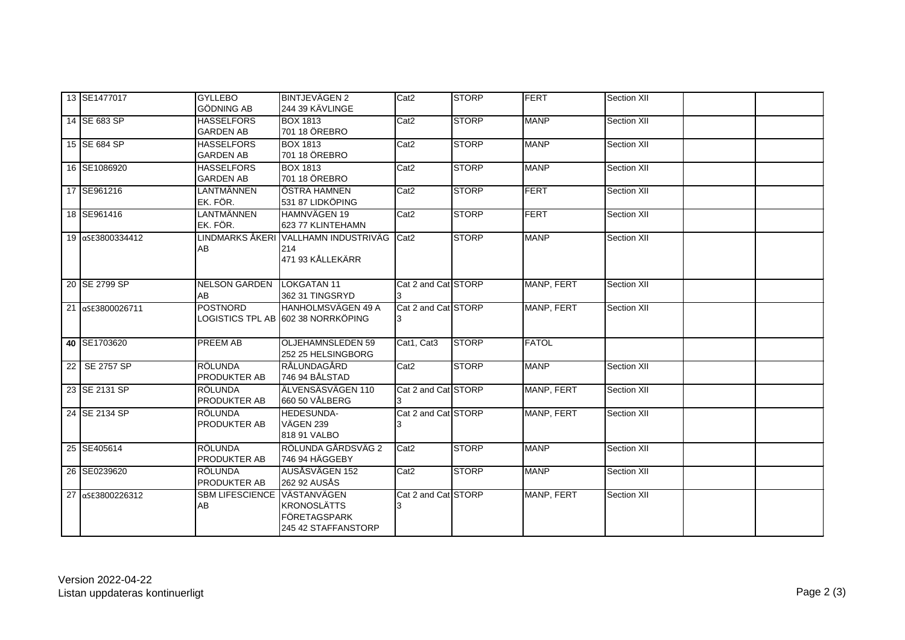| 13 SE1477017     | <b>GYLLEBO</b><br><b>GÖDNING AB</b>   | <b>BINTJEVÄGEN 2</b><br>244 39 KÄVLINGE                                         | Cat <sub>2</sub>    | <b>STORP</b> | <b>FERT</b>  | Section XII |  |
|------------------|---------------------------------------|---------------------------------------------------------------------------------|---------------------|--------------|--------------|-------------|--|
| 14 SE 683 SP     | <b>HASSELFORS</b><br><b>GARDEN AB</b> | <b>BOX 1813</b><br>701 18 ÖREBRO                                                | Cat <sub>2</sub>    | <b>STORP</b> | <b>MANP</b>  | Section XII |  |
| 15 SE 684 SP     | <b>HASSELFORS</b><br><b>GARDEN AB</b> | <b>BOX 1813</b><br>701 18 ÖREBRO                                                | Cat2                | <b>STORP</b> | <b>MANP</b>  | Section XII |  |
| 16 SE1086920     | <b>HASSELFORS</b><br><b>GARDEN AB</b> | <b>BOX 1813</b><br>701 18 ÖREBRO                                                | Cat <sub>2</sub>    | <b>STORP</b> | <b>MANP</b>  | Section XII |  |
| 17 SE961216      | LANTMÄNNEN<br>EK. FÖR.                | ÖSTRA HAMNEN<br>531 87 LIDKÖPING                                                | Cat <sub>2</sub>    | <b>STORP</b> | FERT         | Section XII |  |
| 18 SE961416      | LANTMÄNNEN<br>EK. FÖR.                | HAMNVÄGEN 19<br>623 77 KLINTEHAMN                                               | Cat <sub>2</sub>    | <b>STORP</b> | FERT         | Section XII |  |
| 19 aSE3800334412 | AB                                    | LINDMARKS ÅKERI VALLHAMN INDUSTRIVÄG<br>214<br>471 93 KÅLLEKÄRR                 | Cat <sub>2</sub>    | <b>STORP</b> | <b>MANP</b>  | Section XII |  |
| 20 SE 2799 SP    | <b>NELSON GARDEN</b><br>AB            | <b>LOKGATAN 11</b><br>362 31 TINGSRYD                                           | Cat 2 and Cat STORP |              | MANP, FERT   | Section XII |  |
| 21 aSE3800026711 | <b>POSTNORD</b>                       | <b>HANHOLMSVÄGEN 49 A</b><br>LOGISTICS TPL AB 1602 38 NORRKÖPING                | Cat 2 and Cat STORP |              | MANP, FERT   | Section XII |  |
| 40 SE1703620     | <b>PREEM AB</b>                       | <b>OLJEHAMNSLEDEN 59</b><br>252 25 HELSINGBORG                                  | Cat1, Cat3          | <b>STORP</b> | <b>FATOL</b> |             |  |
| 22 SE 2757 SP    | <b>RÖLUNDA</b><br><b>PRODUKTER AB</b> | RÅLUNDAGÅRD<br>746 94 BÅLSTAD                                                   | Cat <sub>2</sub>    | <b>STORP</b> | <b>MANP</b>  | Section XII |  |
| 23 SE 2131 SP    | <b>RÖLUNDA</b><br><b>PRODUKTER AB</b> | ÄLVENSÄSVÄGEN 110<br>660 50 VÅLBERG                                             | Cat 2 and Cat STORP |              | MANP, FERT   | Section XII |  |
| 24 SE 2134 SP    | <b>RÖLUNDA</b><br><b>PRODUKTER AB</b> | HEDESUNDA-<br>VÄGEN 239<br>818 91 VALBO                                         | Cat 2 and Cat STORP |              | MANP, FERT   | Section XII |  |
| 25 SE405614      | <b>RÖLUNDA</b><br>PRODUKTER AB        | RÖLUNDA GÅRDSVÄG 2<br>746 94 HÄGGEBY                                            | Cat <sub>2</sub>    | <b>STORP</b> | <b>MANP</b>  | Section XII |  |
| 26 SE0239620     | RÖLUNDA<br><b>PRODUKTER AB</b>        | AUSÅSVÄGEN 152<br>262 92 AUSÅS                                                  | Cat2                | <b>STORP</b> | <b>MANP</b>  | Section XII |  |
| 27 aSE3800226312 | <b>SBM LIFESCIENCE</b><br>AB          | VÄSTANVÄGEN<br><b>KRONOSLÄTTS</b><br><b>FÖRETAGSPARK</b><br>245 42 STAFFANSTORP | Cat 2 and Cat STORP |              | MANP, FERT   | Section XII |  |